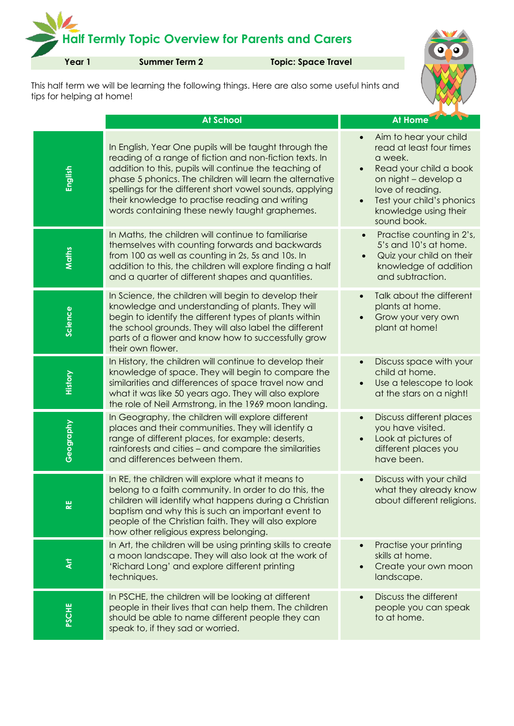## **Half Termly Topic Overview for Parents and Carers**

**Year 1 Summer Term 2 Topic: Space Travel**



This half term we will be learning the following things. Here are also some useful hints and tips for helping at home!

|              | <b>At School</b>                                                                                                                                                                                                                                                                                                                                                                                         | <b>At Home</b>                                                                                                                                                                                           |
|--------------|----------------------------------------------------------------------------------------------------------------------------------------------------------------------------------------------------------------------------------------------------------------------------------------------------------------------------------------------------------------------------------------------------------|----------------------------------------------------------------------------------------------------------------------------------------------------------------------------------------------------------|
| English      | In English, Year One pupils will be taught through the<br>reading of a range of fiction and non-fiction texts. In<br>addition to this, pupils will continue the teaching of<br>phase 5 phonics. The children will learn the alternative<br>spellings for the different short vowel sounds, applying<br>their knowledge to practise reading and writing<br>words containing these newly taught graphemes. | Aim to hear your child<br>read at least four times<br>a week.<br>Read your child a book<br>on night - develop a<br>love of reading.<br>Test your child's phonics<br>knowledge using their<br>sound book. |
| Maths        | In Maths, the children will continue to familiarise<br>themselves with counting forwards and backwards<br>from 100 as well as counting in 2s, 5s and 10s. In<br>addition to this, the children will explore finding a half<br>and a quarter of different shapes and quantities.                                                                                                                          | Practise counting in 2's,<br>5's and 10's at home.<br>Quiz your child on their<br>knowledge of addition<br>and subtraction.                                                                              |
| Science      | In Science, the children will begin to develop their<br>knowledge and understanding of plants. They will<br>begin to identify the different types of plants within<br>the school grounds. They will also label the different<br>parts of a flower and know how to successfully grow<br>their own flower.                                                                                                 | Talk about the different<br>plants at home.<br>Grow your very own<br>plant at home!                                                                                                                      |
| History      | In History, the children will continue to develop their<br>knowledge of space. They will begin to compare the<br>similarities and differences of space travel now and<br>what it was like 50 years ago. They will also explore<br>the role of Neil Armstrong, in the 1969 moon landing.                                                                                                                  | Discuss space with your<br>child at home.<br>Use a telescope to look<br>at the stars on a night!                                                                                                         |
| Geography    | In Geography, the children will explore different<br>places and their communities. They will identify a<br>range of different places, for example: deserts,<br>rainforests and cities - and compare the similarities<br>and differences between them.                                                                                                                                                    | Discuss different places<br>you have visited.<br>Look at pictures of<br>different places you<br>have been.                                                                                               |
| ∝            | In RE, the children will explore what it means to<br>belong to a faith community. In order to do this, the<br>children will identify what happens during a Christian<br>baptism and why this is such an important event to<br>people of the Christian faith. They will also explore<br>how other religious express belonging.                                                                            | Discuss with your child<br>what they already know<br>about different religions.                                                                                                                          |
| ই            | In Art, the children will be using printing skills to create<br>a moon landscape. They will also look at the work of<br>'Richard Long' and explore different printing<br>techniques.                                                                                                                                                                                                                     | Practise your printing<br>skills at home.<br>Create your own moon<br>landscape.                                                                                                                          |
| <b>PSCHE</b> | In PSCHE, the children will be looking at different<br>people in their lives that can help them. The children<br>should be able to name different people they can<br>speak to, if they sad or worried.                                                                                                                                                                                                   | Discuss the different<br>people you can speak<br>to at home.                                                                                                                                             |